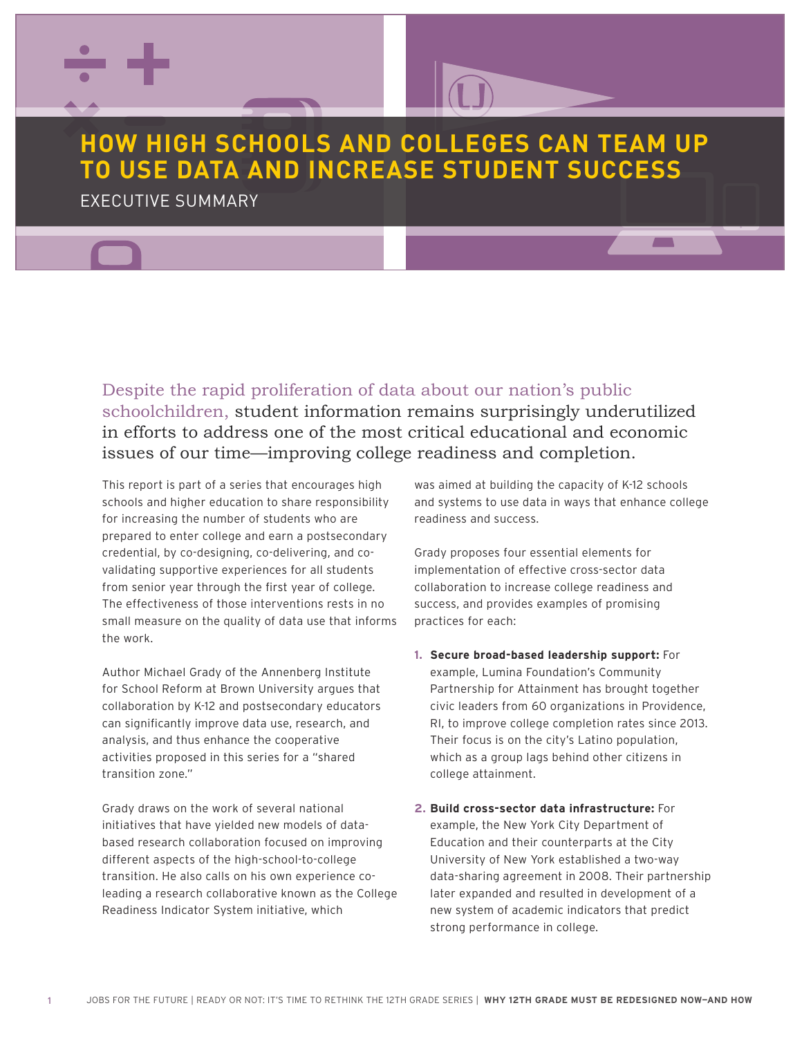

## **HOW HIGH SCHOOLS AND COLLEGES CAN TEAM UP TO USE DATA AND INCREASE STUDENT SUCCESS**

EXECUTIVE SUMMARY

Despite the rapid proliferation of data about our nation's public schoolchildren, student information remains surprisingly underutilized in efforts to address one of the most critical educational and economic issues of our time—improving college readiness and completion.

This report is part of a series that encourages high schools and higher education to share responsibility for increasing the number of students who are prepared to enter college and earn a postsecondary credential, by co-designing, co-delivering, and covalidating supportive experiences for all students from senior year through the first year of college. The effectiveness of those interventions rests in no small measure on the quality of data use that informs the work.

**College attainment.**<br> **College attainment**<br> **College attainment** Author Michael Grady of the Annenberg Institute for School Reform at Brown University argues that collaboration by K-12 and postsecondary educators can significantly improve data use, research, and analysis, and thus enhance the cooperative activities proposed in this series for a "shared transition zone."

Readiness Indicator System initiative, which<br> **Readiness Indicator System initiative**, which leading a research collaborative known as the College<br>Readiness Indicator System initiative, which Grady draws on the work of several national **Increase 2. Build cross-sector data in**<br>Initiatives that have vielded new models of data-**and the sexample, the New York Cit**v based research collaboration focused on improving Education and initiatives that have yielded new models of datadifferent aspects of the high-school-to-college transition. He also calls on his own experience co-

was aimed at building the capacity of K-12 schools and systems to use data in ways that enhance college readiness and success.

 $\overline{\phantom{a}}$ 

Grady proposes four essential elements for implementation of effective cross-sector data collaboration to increase college readiness and success, and provides examples of promising practices for each:

- sis, and thus enhance the cooperative Their focus is on the city's Latino population,<br>ties proposed in this series for a "shared which as a group lags behind other c **1. Secure broad-based leadership support:** For example, Lumina Foundation's Community Partnership for Attainment has brought together civic leaders from 60 organizations in Providence, RI, to improve college completion rates since 2013. Their focus is on the city's Latino population, college attainment.
- ent aspects of the high-school-to-college University of New York established a two-way<br>... **2. Build cross-sector data infrastructure:** For example, the New York City Department of Education and their counterparts at the City data-sharing agreement in 2008. Their partnership later expanded and resulted in development of a new system of academic indicators that predict strong performance in college.